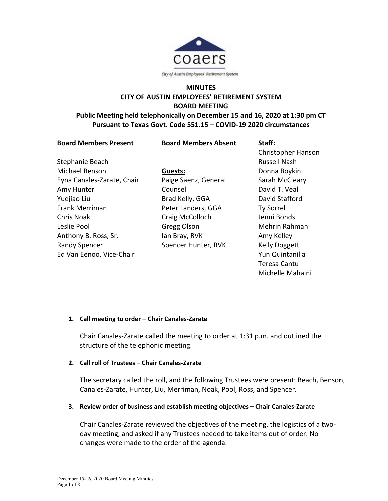

# **MINUTES CITY OF AUSTIN EMPLOYEES' RETIREMENT SYSTEM BOARD MEETING**

# **Public Meeting held telephonically on December 15 and 16, 2020 at 1:30 pm CT Pursuant to Texas Govt. Code 551.15 – COVID-19 2020 circumstances**

| <b>Board Members Present</b> | <b>Board Members Absent</b> | Staff:              |
|------------------------------|-----------------------------|---------------------|
|                              |                             | Christopher Hanson  |
| Stephanie Beach              |                             | <b>Russell Nash</b> |
| Michael Benson               | Guests:                     | Donna Boykin        |
| Eyna Canales-Zarate, Chair   | Paige Saenz, General        | Sarah McCleary      |
| Amy Hunter                   | Counsel                     | David T. Veal       |
|                              |                             |                     |

Yuejiao Liu Frank Merriman Chris Noak Leslie Pool Anthony B. Ross, Sr. Randy Spencer Ed Van Eenoo, Vice-Chair

Brad Kelly, GGA Peter Landers, GGA Craig McColloch Gregg Olson Ian Bray, RVK Spencer Hunter, RVK David Stafford Ty Sorrel Jenni Bonds Mehrin Rahman Amy Kelley Kelly Doggett Yun Quintanilla Teresa Cantu Michelle Mahaini

# **1. Call meeting to order – Chair Canales-Zarate**

Chair Canales-Zarate called the meeting to order at 1:31 p.m. and outlined the structure of the telephonic meeting.

# **2. Call roll of Trustees – Chair Canales-Zarate**

The secretary called the roll, and the following Trustees were present: Beach, Benson, Canales-Zarate, Hunter, Liu, Merriman, Noak, Pool, Ross, and Spencer.

# **3. Review order of business and establish meeting objectives – Chair Canales-Zarate**

Chair Canales-Zarate reviewed the objectives of the meeting, the logistics of a twoday meeting, and asked if any Trustees needed to take items out of order. No changes were made to the order of the agenda.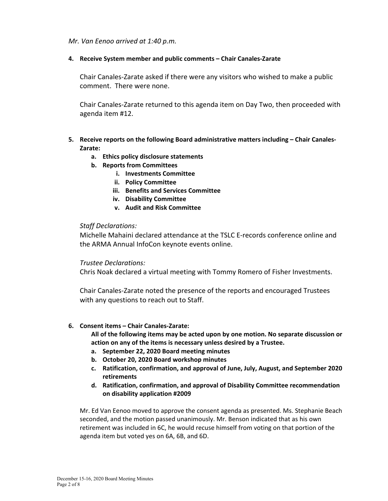*Mr. Van Eenoo arrived at 1:40 p.m.*

# **4. Receive System member and public comments – Chair Canales-Zarate**

Chair Canales-Zarate asked if there were any visitors who wished to make a public comment. There were none.

Chair Canales-Zarate returned to this agenda item on Day Two, then proceeded with agenda item #12.

# **5. Receive reports on the following Board administrative matters including – Chair Canales-Zarate:**

- **a. Ethics policy disclosure statements**
- **b. Reports from Committees**
	- **i. Investments Committee**
	- **ii. Policy Committee**
	- **iii. Benefits and Services Committee**
	- **iv. Disability Committee**
	- **v. Audit and Risk Committee**

# *Staff Declarations:*

Michelle Mahaini declared attendance at the TSLC E-records conference online and the ARMA Annual InfoCon keynote events online.

## *Trustee Declarations:*

Chris Noak declared a virtual meeting with Tommy Romero of Fisher Investments.

Chair Canales-Zarate noted the presence of the reports and encouraged Trustees with any questions to reach out to Staff.

## **6. Consent items – Chair Canales-Zarate:**

**All of the following items may be acted upon by one motion. No separate discussion or action on any of the items is necessary unless desired by a Trustee.**

- **a. September 22, 2020 Board meeting minutes**
- **b. October 20, 2020 Board workshop minutes**
- **c. Ratification, confirmation, and approval of June, July, August, and September 2020 retirements**
- **d. Ratification, confirmation, and approval of Disability Committee recommendation on disability application #2009**

Mr. Ed Van Eenoo moved to approve the consent agenda as presented. Ms. Stephanie Beach seconded, and the motion passed unanimously. Mr. Benson indicated that as his own retirement was included in 6C, he would recuse himself from voting on that portion of the agenda item but voted yes on 6A, 6B, and 6D.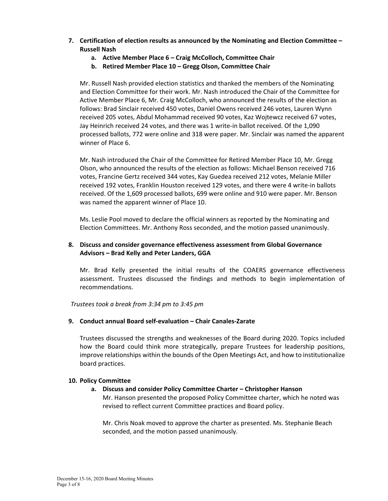- **7. Certification of election results as announced by the Nominating and Election Committee – Russell Nash**
	- **a. Active Member Place 6 – Craig McColloch, Committee Chair**
	- **b. Retired Member Place 10 – Gregg Olson, Committee Chair**

Mr. Russell Nash provided election statistics and thanked the members of the Nominating and Election Committee for their work. Mr. Nash introduced the Chair of the Committee for Active Member Place 6, Mr. Craig McColloch, who announced the results of the election as follows: Brad Sinclair received 450 votes, Daniel Owens received 246 votes, Lauren Wynn received 205 votes, Abdul Mohammad received 90 votes, Kaz Wojtewcz received 67 votes, Jay Heinrich received 24 votes, and there was 1 write-in ballot received. Of the 1,090 processed ballots, 772 were online and 318 were paper. Mr. Sinclair was named the apparent winner of Place 6.

Mr. Nash introduced the Chair of the Committee for Retired Member Place 10, Mr. Gregg Olson, who announced the results of the election as follows: Michael Benson received 716 votes, Francine Gertz received 344 votes, Kay Guedea received 212 votes, Melanie Miller received 192 votes, Franklin Houston received 129 votes, and there were 4 write-in ballots received. Of the 1,609 processed ballots, 699 were online and 910 were paper. Mr. Benson was named the apparent winner of Place 10.

Ms. Leslie Pool moved to declare the official winners as reported by the Nominating and Election Committees. Mr. Anthony Ross seconded, and the motion passed unanimously.

# **8. Discuss and consider governance effectiveness assessment from Global Governance Advisors – Brad Kelly and Peter Landers, GGA**

Mr. Brad Kelly presented the initial results of the COAERS governance effectiveness assessment. Trustees discussed the findings and methods to begin implementation of recommendations.

*Trustees took a break from 3:34 pm to 3:45 pm*

## **9. Conduct annual Board self-evaluation – Chair Canales-Zarate**

Trustees discussed the strengths and weaknesses of the Board during 2020. Topics included how the Board could think more strategically, prepare Trustees for leadership positions, improve relationships within the bounds of the Open Meetings Act, and how to institutionalize board practices.

## **10. Policy Committee**

## **a. Discuss and consider Policy Committee Charter – Christopher Hanson**

Mr. Hanson presented the proposed Policy Committee charter, which he noted was revised to reflect current Committee practices and Board policy.

Mr. Chris Noak moved to approve the charter as presented. Ms. Stephanie Beach seconded, and the motion passed unanimously.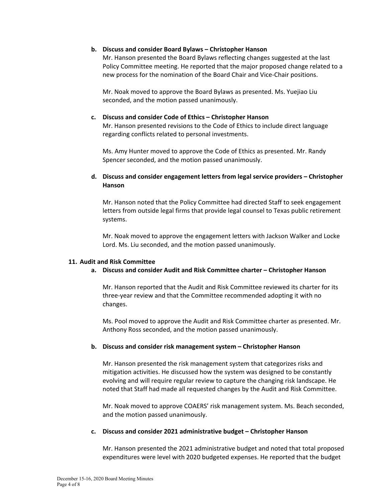#### **b. Discuss and consider Board Bylaws – Christopher Hanson**

Mr. Hanson presented the Board Bylaws reflecting changes suggested at the last Policy Committee meeting. He reported that the major proposed change related to a new process for the nomination of the Board Chair and Vice-Chair positions.

Mr. Noak moved to approve the Board Bylaws as presented. Ms. Yuejiao Liu seconded, and the motion passed unanimously.

#### **c. Discuss and consider Code of Ethics – Christopher Hanson**

Mr. Hanson presented revisions to the Code of Ethics to include direct language regarding conflicts related to personal investments.

Ms. Amy Hunter moved to approve the Code of Ethics as presented. Mr. Randy Spencer seconded, and the motion passed unanimously.

# **d. Discuss and consider engagement letters from legal service providers – Christopher Hanson**

Mr. Hanson noted that the Policy Committee had directed Staff to seek engagement letters from outside legal firms that provide legal counsel to Texas public retirement systems.

Mr. Noak moved to approve the engagement letters with Jackson Walker and Locke Lord. Ms. Liu seconded, and the motion passed unanimously.

#### **11. Audit and Risk Committee**

## **a. Discuss and consider Audit and Risk Committee charter – Christopher Hanson**

Mr. Hanson reported that the Audit and Risk Committee reviewed its charter for its three-year review and that the Committee recommended adopting it with no changes.

Ms. Pool moved to approve the Audit and Risk Committee charter as presented. Mr. Anthony Ross seconded, and the motion passed unanimously.

#### **b. Discuss and consider risk management system – Christopher Hanson**

Mr. Hanson presented the risk management system that categorizes risks and mitigation activities. He discussed how the system was designed to be constantly evolving and will require regular review to capture the changing risk landscape. He noted that Staff had made all requested changes by the Audit and Risk Committee.

Mr. Noak moved to approve COAERS' risk management system. Ms. Beach seconded, and the motion passed unanimously.

#### **c. Discuss and consider 2021 administrative budget – Christopher Hanson**

Mr. Hanson presented the 2021 administrative budget and noted that total proposed expenditures were level with 2020 budgeted expenses. He reported that the budget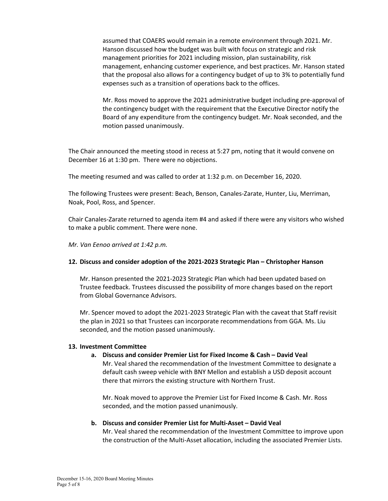assumed that COAERS would remain in a remote environment through 2021. Mr. Hanson discussed how the budget was built with focus on strategic and risk management priorities for 2021 including mission, plan sustainability, risk management, enhancing customer experience, and best practices. Mr. Hanson stated that the proposal also allows for a contingency budget of up to 3% to potentially fund expenses such as a transition of operations back to the offices.

Mr. Ross moved to approve the 2021 administrative budget including pre-approval of the contingency budget with the requirement that the Executive Director notify the Board of any expenditure from the contingency budget. Mr. Noak seconded, and the motion passed unanimously.

The Chair announced the meeting stood in recess at 5:27 pm, noting that it would convene on December 16 at 1:30 pm. There were no objections.

The meeting resumed and was called to order at 1:32 p.m. on December 16, 2020.

The following Trustees were present: Beach, Benson, Canales-Zarate, Hunter, Liu, Merriman, Noak, Pool, Ross, and Spencer.

Chair Canales-Zarate returned to agenda item #4 and asked if there were any visitors who wished to make a public comment. There were none.

*Mr. Van Eenoo arrived at 1:42 p.m.*

## **12. Discuss and consider adoption of the 2021-2023 Strategic Plan – Christopher Hanson**

Mr. Hanson presented the 2021-2023 Strategic Plan which had been updated based on Trustee feedback. Trustees discussed the possibility of more changes based on the report from Global Governance Advisors.

Mr. Spencer moved to adopt the 2021-2023 Strategic Plan with the caveat that Staff revisit the plan in 2021 so that Trustees can incorporate recommendations from GGA. Ms. Liu seconded, and the motion passed unanimously.

## **13. Investment Committee**

## **a. Discuss and consider Premier List for Fixed Income & Cash – David Veal**

Mr. Veal shared the recommendation of the Investment Committee to designate a default cash sweep vehicle with BNY Mellon and establish a USD deposit account there that mirrors the existing structure with Northern Trust.

Mr. Noak moved to approve the Premier List for Fixed Income & Cash. Mr. Ross seconded, and the motion passed unanimously.

## **b. Discuss and consider Premier List for Multi-Asset – David Veal**

Mr. Veal shared the recommendation of the Investment Committee to improve upon the construction of the Multi-Asset allocation, including the associated Premier Lists.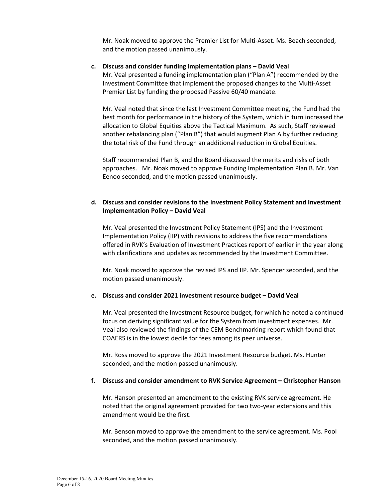Mr. Noak moved to approve the Premier List for Multi-Asset. Ms. Beach seconded, and the motion passed unanimously.

## **c. Discuss and consider funding implementation plans – David Veal**

Mr. Veal presented a funding implementation plan ("Plan A") recommended by the Investment Committee that implement the proposed changes to the Multi-Asset Premier List by funding the proposed Passive 60/40 mandate.

Mr. Veal noted that since the last Investment Committee meeting, the Fund had the best month for performance in the history of the System, which in turn increased the allocation to Global Equities above the Tactical Maximum. As such, Staff reviewed another rebalancing plan ("Plan B") that would augment Plan A by further reducing the total risk of the Fund through an additional reduction in Global Equities.

Staff recommended Plan B, and the Board discussed the merits and risks of both approaches. Mr. Noak moved to approve Funding Implementation Plan B. Mr. Van Eenoo seconded, and the motion passed unanimously.

# **d. Discuss and consider revisions to the Investment Policy Statement and Investment Implementation Policy – David Veal**

Mr. Veal presented the Investment Policy Statement (IPS) and the Investment Implementation Policy (IIP) with revisions to address the five recommendations offered in RVK's Evaluation of Investment Practices report of earlier in the year along with clarifications and updates as recommended by the Investment Committee.

Mr. Noak moved to approve the revised IPS and IIP. Mr. Spencer seconded, and the motion passed unanimously.

#### **e. Discuss and consider 2021 investment resource budget – David Veal**

Mr. Veal presented the Investment Resource budget, for which he noted a continued focus on deriving significant value for the System from investment expenses. Mr. Veal also reviewed the findings of the CEM Benchmarking report which found that COAERS is in the lowest decile for fees among its peer universe.

Mr. Ross moved to approve the 2021 Investment Resource budget. Ms. Hunter seconded, and the motion passed unanimously.

#### **f. Discuss and consider amendment to RVK Service Agreement – Christopher Hanson**

Mr. Hanson presented an amendment to the existing RVK service agreement. He noted that the original agreement provided for two two-year extensions and this amendment would be the first.

Mr. Benson moved to approve the amendment to the service agreement. Ms. Pool seconded, and the motion passed unanimously.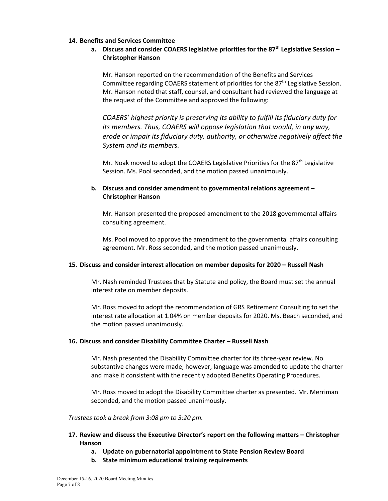#### **14. Benefits and Services Committee**

# **a. Discuss and consider COAERS legislative priorities for the 87th Legislative Session – Christopher Hanson**

Mr. Hanson reported on the recommendation of the Benefits and Services Committee regarding COAERS statement of priorities for the  $87<sup>th</sup>$  Legislative Session. Mr. Hanson noted that staff, counsel, and consultant had reviewed the language at the request of the Committee and approved the following:

*COAERS' highest priority is preserving its ability to fulfill its fiduciary duty for its members. Thus, COAERS will oppose legislation that would, in any way, erode or impair its fiduciary duty, authority, or otherwise negatively affect the System and its members.*

Mr. Noak moved to adopt the COAERS Legislative Priorities for the  $87<sup>th</sup>$  Legislative Session. Ms. Pool seconded, and the motion passed unanimously.

# **b. Discuss and consider amendment to governmental relations agreement – Christopher Hanson**

Mr. Hanson presented the proposed amendment to the 2018 governmental affairs consulting agreement.

Ms. Pool moved to approve the amendment to the governmental affairs consulting agreement. Mr. Ross seconded, and the motion passed unanimously.

## **15. Discuss and consider interest allocation on member deposits for 2020 – Russell Nash**

Mr. Nash reminded Trustees that by Statute and policy, the Board must set the annual interest rate on member deposits.

Mr. Ross moved to adopt the recommendation of GRS Retirement Consulting to set the interest rate allocation at 1.04% on member deposits for 2020. Ms. Beach seconded, and the motion passed unanimously.

#### **16. Discuss and consider Disability Committee Charter – Russell Nash**

Mr. Nash presented the Disability Committee charter for its three-year review. No substantive changes were made; however, language was amended to update the charter and make it consistent with the recently adopted Benefits Operating Procedures.

Mr. Ross moved to adopt the Disability Committee charter as presented. Mr. Merriman seconded, and the motion passed unanimously.

#### *Trustees took a break from 3:08 pm to 3:20 pm.*

# **17. Review and discuss the Executive Director's report on the following matters – Christopher Hanson**

- **a. Update on gubernatorial appointment to State Pension Review Board**
- **b. State minimum educational training requirements**